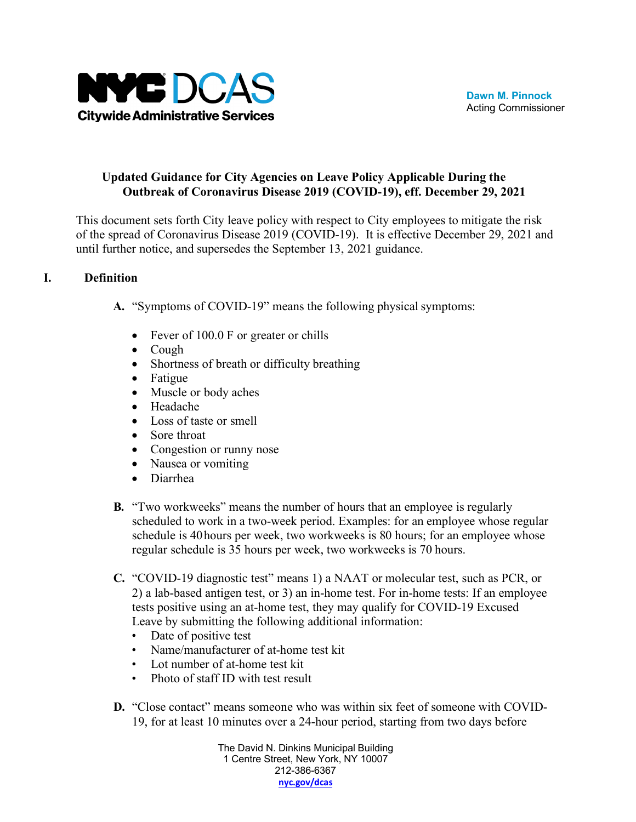

## **Updated Guidance for City Agencies on Leave Policy Applicable During the Outbreak of Coronavirus Disease 2019 (COVID-19), eff. December 29, 2021**

This document sets forth City leave policy with respect to City employees to mitigate the risk of the spread of Coronavirus Disease 2019 (COVID-19). It is effective December 29, 2021 and until further notice, and supersedes the September 13, 2021 guidance.

## **I. Definition**

- **A.** "Symptoms of COVID-19" means the following physical symptoms:
	- Fever of 100.0 F or greater or chills
	- Cough
	- Shortness of breath or difficulty breathing
	- Fatigue
	- Muscle or body aches
	- Headache
	- Loss of taste or smell
	- Sore throat
	- Congestion or runny nose
	- Nausea or vomiting
	- Diarrhea
- **B.** "Two workweeks" means the number of hours that an employee is regularly scheduled to work in a two-week period. Examples: for an employee whose regular schedule is 40hours per week, two workweeks is 80 hours; for an employee whose regular schedule is 35 hours per week, two workweeks is 70 hours.
- **C.** "COVID-19 diagnostic test" means 1) a NAAT or molecular test, such as PCR, or 2) a lab-based antigen test, or 3) an in-home test. For in-home tests: If an employee tests positive using an at-home test, they may qualify for COVID-19 Excused Leave by submitting the following additional information:
	- Date of positive test
	- Name/manufacturer of at-home test kit
	- Lot number of at-home test kit
	- Photo of staff ID with test result
- **D.** "Close contact" means someone who was within six feet of someone with COVID-19, for at least 10 minutes over a 24-hour period, starting from two days before

The David N. Dinkins Municipal Building 1 Centre Street, New York, NY 10007 212-386-6367 **[nyc.gov/dcas](http://www.nyc.gov/dcas)**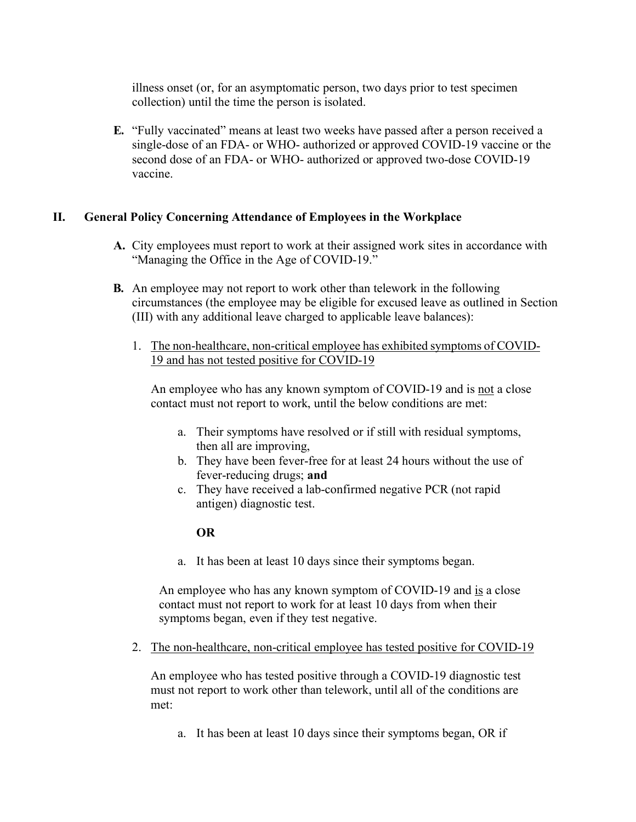illness onset (or, for an asymptomatic person, two days prior to test specimen collection) until the time the person is isolated.

**E.** "Fully vaccinated" means at least two weeks have passed after a person received a single-dose of an FDA- or WHO- authorized or approved COVID-19 vaccine or the second dose of an FDA- or WHO- authorized or approved two-dose COVID-19 vaccine.

### **II. General Policy Concerning Attendance of Employees in the Workplace**

- **A.** City employees must report to work at their assigned work sites in accordance with "Managing the Office in the Age of COVID-19."
- **B.** An employee may not report to work other than telework in the following circumstances (the employee may be eligible for excused leave as outlined in Section (III) with any additional leave charged to applicable leave balances):
	- 1. The non-healthcare, non-critical employee has exhibited symptoms of COVID-19 and has not tested positive for COVID-19

An employee who has any known symptom of COVID-19 and is not a close contact must not report to work, until the below conditions are met:

- a. Their symptoms have resolved or if still with residual symptoms, then all are improving,
- b. They have been fever-free for at least 24 hours without the use of fever-reducing drugs; **and**
- c. They have received a lab-confirmed negative PCR (not rapid antigen) diagnostic test.

### **OR**

a. It has been at least 10 days since their symptoms began.

An employee who has any known symptom of COVID-19 and is a close contact must not report to work for at least 10 days from when their symptoms began, even if they test negative.

2. The non-healthcare, non-critical employee has tested positive for COVID-19

An employee who has tested positive through a COVID-19 diagnostic test must not report to work other than telework, until all of the conditions are met:

a. It has been at least 10 days since their symptoms began, OR if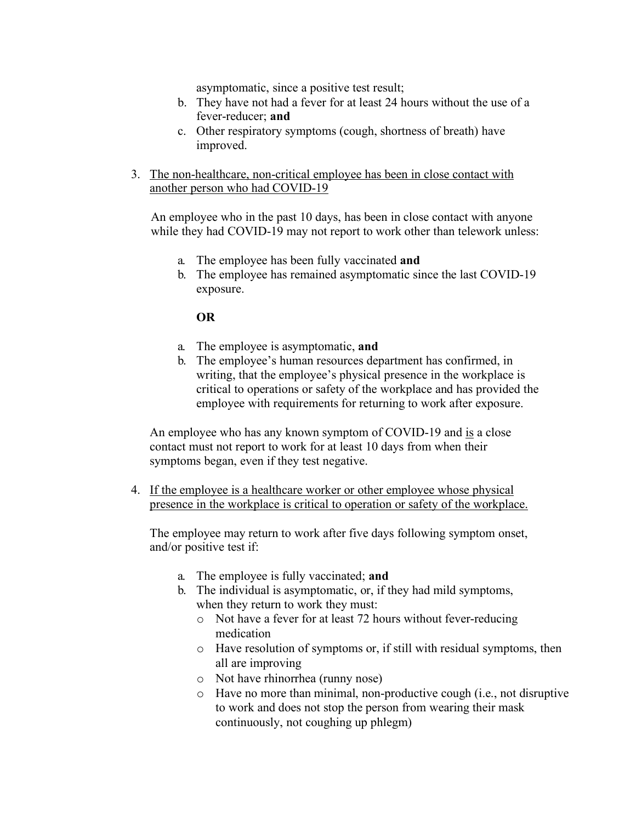asymptomatic, since a positive test result;

- b. They have not had a fever for at least 24 hours without the use of a fever-reducer; **and**
- c. Other respiratory symptoms (cough, shortness of breath) have improved.
- 3. The non-healthcare, non-critical employee has been in close contact with another person who had COVID-19

An employee who in the past 10 days, has been in close contact with anyone while they had COVID-19 may not report to work other than telework unless:

- a. The employee has been fully vaccinated **and**
- b. The employee has remained asymptomatic since the last COVID-19 exposure.

### **OR**

- a. The employee is asymptomatic, **and**
- b. The employee's human resources department has confirmed, in writing, that the employee's physical presence in the workplace is critical to operations or safety of the workplace and has provided the employee with requirements for returning to work after exposure.

An employee who has any known symptom of COVID-19 and is a close contact must not report to work for at least 10 days from when their symptoms began, even if they test negative.

4. If the employee is a healthcare worker or other employee whose physical presence in the workplace is critical to operation or safety of the workplace.

The employee may return to work after five days following symptom onset, and/or positive test if:

- a. The employee is fully vaccinated; **and**
- b. The individual is asymptomatic, or, if they had mild symptoms, when they return to work they must:
	- o Not have a fever for at least 72 hours without fever-reducing medication
	- o Have resolution of symptoms or, if still with residual symptoms, then all are improving
	- o Not have rhinorrhea (runny nose)
	- o Have no more than minimal, non-productive cough (i.e., not disruptive to work and does not stop the person from wearing their mask continuously, not coughing up phlegm)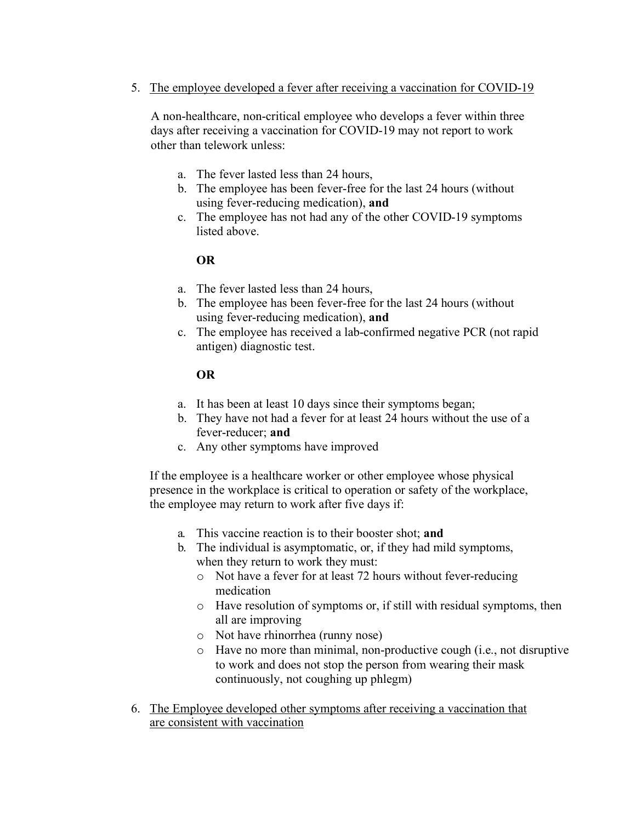5. The employee developed a fever after receiving a vaccination for COVID-19

A non-healthcare, non-critical employee who develops a fever within three days after receiving a vaccination for COVID-19 may not report to work other than telework unless:

- a. The fever lasted less than 24 hours,
- b. The employee has been fever-free for the last 24 hours (without using fever-reducing medication), **and**
- c. The employee has not had any of the other COVID-19 symptoms listed above.

## **OR**

- a. The fever lasted less than 24 hours,
- b. The employee has been fever-free for the last 24 hours (without using fever-reducing medication), **and**
- c. The employee has received a lab-confirmed negative PCR (not rapid antigen) diagnostic test.

## **OR**

- a. It has been at least 10 days since their symptoms began;
- b. They have not had a fever for at least 24 hours without the use of a fever-reducer; **and**
- c. Any other symptoms have improved

If the employee is a healthcare worker or other employee whose physical presence in the workplace is critical to operation or safety of the workplace, the employee may return to work after five days if:

- a. This vaccine reaction is to their booster shot; **and**
- b. The individual is asymptomatic, or, if they had mild symptoms, when they return to work they must:
	- o Not have a fever for at least 72 hours without fever-reducing medication
	- o Have resolution of symptoms or, if still with residual symptoms, then all are improving
	- o Not have rhinorrhea (runny nose)
	- o Have no more than minimal, non-productive cough (i.e., not disruptive to work and does not stop the person from wearing their mask continuously, not coughing up phlegm)
- 6. The Employee developed other symptoms after receiving a vaccination that are consistent with vaccination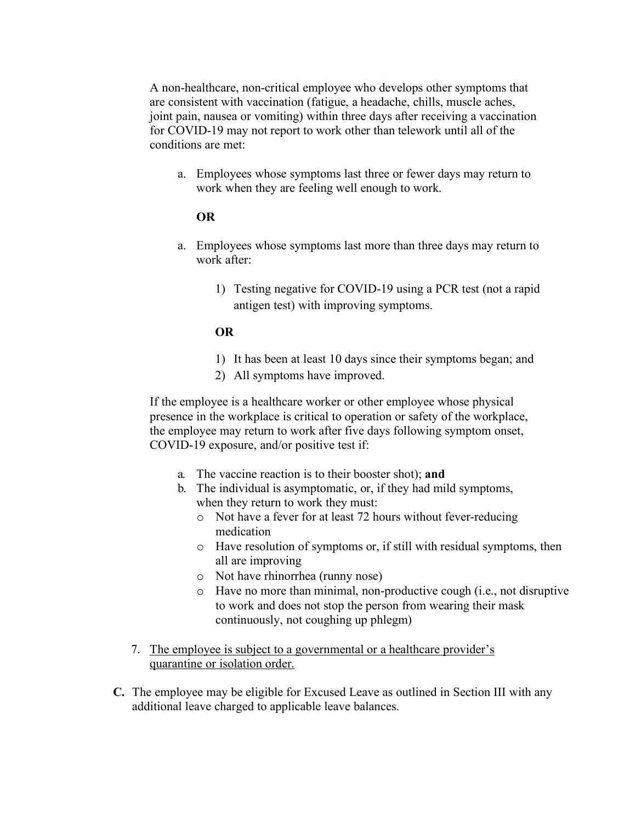A non-healthcare, non-critical employee who develops other symptoms that are consistent with vaccination (fatigue, a headache, chills, muscle aches, joint pain, nausea or vomiting) within three days after receiving a vaccination for COVID-19 may not report to work other than telework until all of the conditions are met:

a. Employees whose symptoms last three or fewer days may return to work when they are feeling well enough to work.

### **OR**

- a. Employees whose symptoms last more than three days may return to work after:
	- 1) Testing negative for COVID-19 using a PCR test (not a rapid antigen test) with improving symptoms.

### **OR**

- 1) It has been at least 10 days since their symptoms began; and
- 2) All symptoms have improved.

If the employee is a healthcare worker or other employee whose physical presence in the workplace is critical to operation or safety of the workplace, the employee may return to work after five days following symptom onset, COVID-19 exposure, and/or positive test if:

- a. The vaccine reaction is to their booster shot); **and**
- b. The individual is asymptomatic, or, if they had mild symptoms, when they return to work they must:
	- o Not have a fever for at least 72 hours without fever-reducing medication
	- o Have resolution of symptoms or, if still with residual symptoms, then all are improving
	- o Not have rhinorrhea (runny nose)
	- o Have no more than minimal, non-productive cough (i.e., not disruptive to work and does not stop the person from wearing their mask continuously, not coughing up phlegm)
- 7. The employee is subject to a governmental or a healthcare provider's quarantine or isolation order.
- **C.** The employee may be eligible for Excused Leave as outlined in Section III with any additional leave charged to applicable leave balances.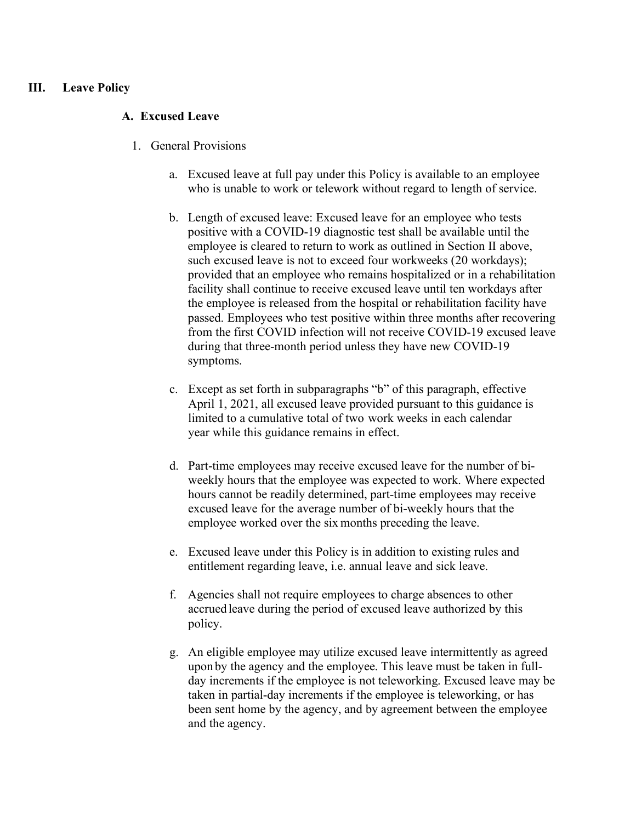### **III. Leave Policy**

#### **A. Excused Leave**

- 1. General Provisions
	- a. Excused leave at full pay under this Policy is available to an employee who is unable to work or telework without regard to length of service.
	- b. Length of excused leave: Excused leave for an employee who tests positive with a COVID-19 diagnostic test shall be available until the employee is cleared to return to work as outlined in Section II above, such excused leave is not to exceed four workweeks (20 workdays); provided that an employee who remains hospitalized or in a rehabilitation facility shall continue to receive excused leave until ten workdays after the employee is released from the hospital or rehabilitation facility have passed. Employees who test positive within three months after recovering from the first COVID infection will not receive COVID-19 excused leave during that three-month period unless they have new COVID-19 symptoms.
	- c. Except as set forth in subparagraphs "b" of this paragraph, effective April 1, 2021, all excused leave provided pursuant to this guidance is limited to a cumulative total of two work weeks in each calendar year while this guidance remains in effect.
	- d. Part-time employees may receive excused leave for the number of biweekly hours that the employee was expected to work. Where expected hours cannot be readily determined, part-time employees may receive excused leave for the average number of bi-weekly hours that the employee worked over the six months preceding the leave.
	- e. Excused leave under this Policy is in addition to existing rules and entitlement regarding leave, i.e. annual leave and sick leave.
	- f. Agencies shall not require employees to charge absences to other accrued leave during the period of excused leave authorized by this policy.
	- g. An eligible employee may utilize excused leave intermittently as agreed upon by the agency and the employee. This leave must be taken in fullday increments if the employee is not teleworking. Excused leave may be taken in partial-day increments if the employee is teleworking, or has been sent home by the agency, and by agreement between the employee and the agency.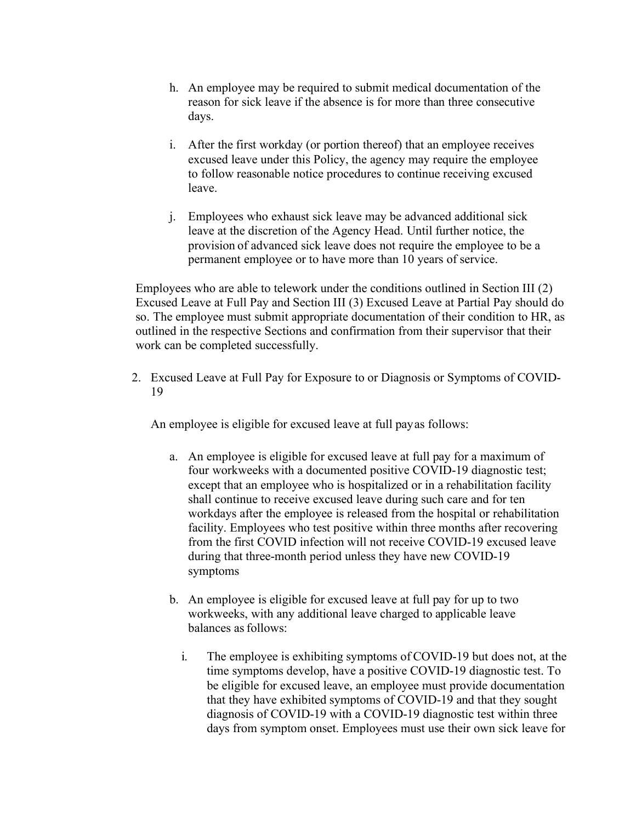- h. An employee may be required to submit medical documentation of the reason for sick leave if the absence is for more than three consecutive days.
- i. After the first workday (or portion thereof) that an employee receives excused leave under this Policy, the agency may require the employee to follow reasonable notice procedures to continue receiving excused leave.
- j. Employees who exhaust sick leave may be advanced additional sick leave at the discretion of the Agency Head. Until further notice, the provision of advanced sick leave does not require the employee to be a permanent employee or to have more than 10 years of service.

Employees who are able to telework under the conditions outlined in Section III (2) Excused Leave at Full Pay and Section III (3) Excused Leave at Partial Pay should do so. The employee must submit appropriate documentation of their condition to HR, as outlined in the respective Sections and confirmation from their supervisor that their work can be completed successfully.

2. Excused Leave at Full Pay for Exposure to or Diagnosis or Symptoms of COVID-19

An employee is eligible for excused leave at full payas follows:

- a. An employee is eligible for excused leave at full pay for a maximum of four workweeks with a documented positive COVID-19 diagnostic test; except that an employee who is hospitalized or in a rehabilitation facility shall continue to receive excused leave during such care and for ten workdays after the employee is released from the hospital or rehabilitation facility. Employees who test positive within three months after recovering from the first COVID infection will not receive COVID-19 excused leave during that three-month period unless they have new COVID-19 symptoms
- b. An employee is eligible for excused leave at full pay for up to two workweeks, with any additional leave charged to applicable leave balances asfollows:
	- i. The employee is exhibiting symptoms of COVID-19 but does not, at the time symptoms develop, have a positive COVID-19 diagnostic test. To be eligible for excused leave, an employee must provide documentation that they have exhibited symptoms of COVID-19 and that they sought diagnosis of COVID-19 with a COVID-19 diagnostic test within three days from symptom onset. Employees must use their own sick leave for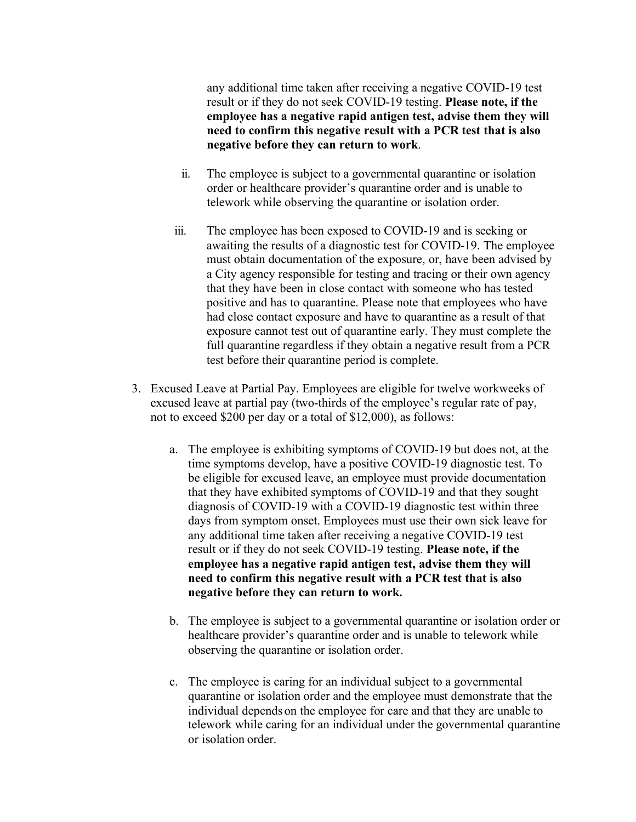any additional time taken after receiving a negative COVID-19 test result or if they do not seek COVID-19 testing. **Please note, if the employee has a negative rapid antigen test, advise them they will need to confirm this negative result with a PCR test that is also negative before they can return to work**.

- ii. The employee is subject to a governmental quarantine or isolation order or healthcare provider's quarantine order and is unable to telework while observing the quarantine or isolation order.
- iii. The employee has been exposed to COVID-19 and is seeking or awaiting the results of a diagnostic test for COVID-19. The employee must obtain documentation of the exposure, or, have been advised by a City agency responsible for testing and tracing or their own agency that they have been in close contact with someone who has tested positive and has to quarantine. Please note that employees who have had close contact exposure and have to quarantine as a result of that exposure cannot test out of quarantine early. They must complete the full quarantine regardless if they obtain a negative result from a PCR test before their quarantine period is complete.
- 3. Excused Leave at Partial Pay. Employees are eligible for twelve workweeks of excused leave at partial pay (two-thirds of the employee's regular rate of pay, not to exceed \$200 per day or a total of \$12,000), as follows:
	- a. The employee is exhibiting symptoms of COVID-19 but does not, at the time symptoms develop, have a positive COVID-19 diagnostic test. To be eligible for excused leave, an employee must provide documentation that they have exhibited symptoms of COVID-19 and that they sought diagnosis of COVID-19 with a COVID-19 diagnostic test within three days from symptom onset. Employees must use their own sick leave for any additional time taken after receiving a negative COVID-19 test result or if they do not seek COVID-19 testing. **Please note, if the employee has a negative rapid antigen test, advise them they will need to confirm this negative result with a PCR test that is also negative before they can return to work.**
	- b. The employee is subject to a governmental quarantine or isolation order or healthcare provider's quarantine order and is unable to telework while observing the quarantine or isolation order.
	- c. The employee is caring for an individual subject to a governmental quarantine or isolation order and the employee must demonstrate that the individual depends on the employee for care and that they are unable to telework while caring for an individual under the governmental quarantine or isolation order.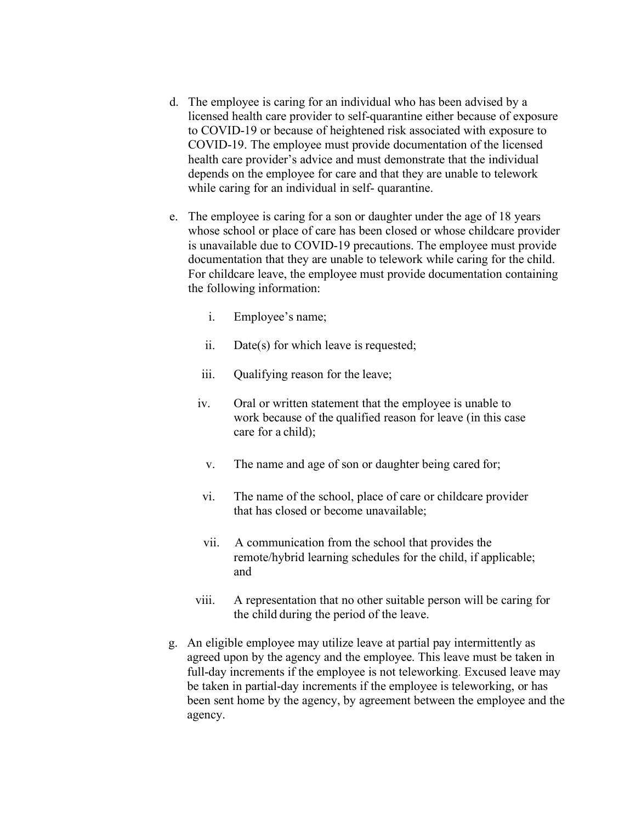- d. The employee is caring for an individual who has been advised by a licensed health care provider to self-quarantine either because of exposure to COVID-19 or because of heightened risk associated with exposure to COVID-19. The employee must provide documentation of the licensed health care provider's advice and must demonstrate that the individual depends on the employee for care and that they are unable to telework while caring for an individual in self- quarantine.
- e. The employee is caring for a son or daughter under the age of 18 years whose school or place of care has been closed or whose childcare provider is unavailable due to COVID-19 precautions. The employee must provide documentation that they are unable to telework while caring for the child. For childcare leave, the employee must provide documentation containing the following information:
	- i. Employee's name;
	- ii. Date(s) for which leave is requested;
	- iii. Qualifying reason for the leave;
	- iv. Oral or written statement that the employee is unable to work because of the qualified reason for leave (in this case care for a child);
		- v. The name and age of son or daughter being cared for;
	- vi. The name of the school, place of care or childcare provider that has closed or become unavailable;
	- vii. A communication from the school that provides the remote/hybrid learning schedules for the child, if applicable; and
	- viii. A representation that no other suitable person will be caring for the child during the period of the leave.
- g. An eligible employee may utilize leave at partial pay intermittently as agreed upon by the agency and the employee. This leave must be taken in full-day increments if the employee is not teleworking. Excused leave may be taken in partial-day increments if the employee is teleworking, or has been sent home by the agency, by agreement between the employee and the agency.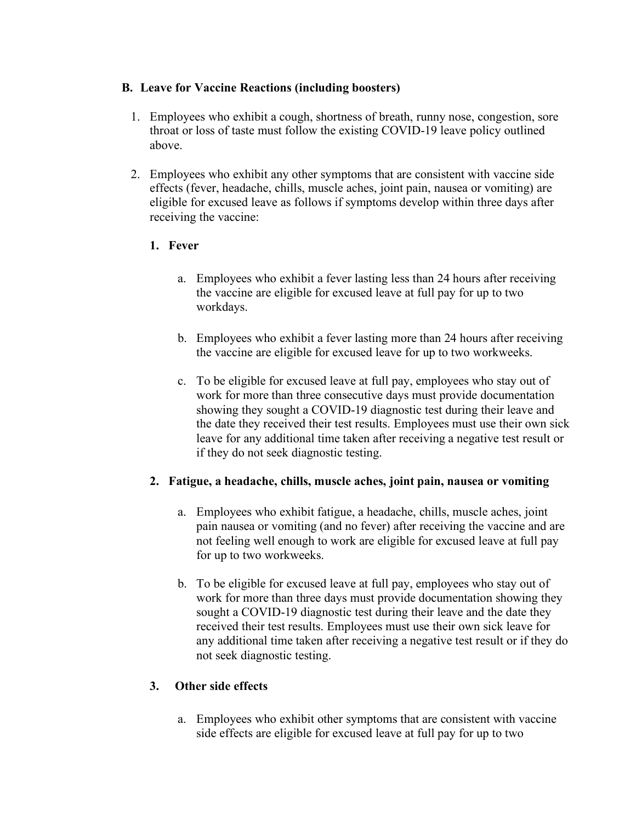## **B. Leave for Vaccine Reactions (including boosters)**

- 1. Employees who exhibit a cough, shortness of breath, runny nose, congestion, sore throat or loss of taste must follow the existing COVID-19 leave policy outlined above.
- 2. Employees who exhibit any other symptoms that are consistent with vaccine side effects (fever, headache, chills, muscle aches, joint pain, nausea or vomiting) are eligible for excused leave as follows if symptoms develop within three days after receiving the vaccine:

# **1. Fever**

- a. Employees who exhibit a fever lasting less than 24 hours after receiving the vaccine are eligible for excused leave at full pay for up to two workdays.
- b. Employees who exhibit a fever lasting more than 24 hours after receiving the vaccine are eligible for excused leave for up to two workweeks.
- c. To be eligible for excused leave at full pay, employees who stay out of work for more than three consecutive days must provide documentation showing they sought a COVID-19 diagnostic test during their leave and the date they received their test results. Employees must use their own sick leave for any additional time taken after receiving a negative test result or if they do not seek diagnostic testing.

## **2. Fatigue, a headache, chills, muscle aches, joint pain, nausea or vomiting**

- a. Employees who exhibit fatigue, a headache, chills, muscle aches, joint pain nausea or vomiting (and no fever) after receiving the vaccine and are not feeling well enough to work are eligible for excused leave at full pay for up to two workweeks.
- b. To be eligible for excused leave at full pay, employees who stay out of work for more than three days must provide documentation showing they sought a COVID-19 diagnostic test during their leave and the date they received their test results. Employees must use their own sick leave for any additional time taken after receiving a negative test result or if they do not seek diagnostic testing.

## **3. Other side effects**

a. Employees who exhibit other symptoms that are consistent with vaccine side effects are eligible for excused leave at full pay for up to two